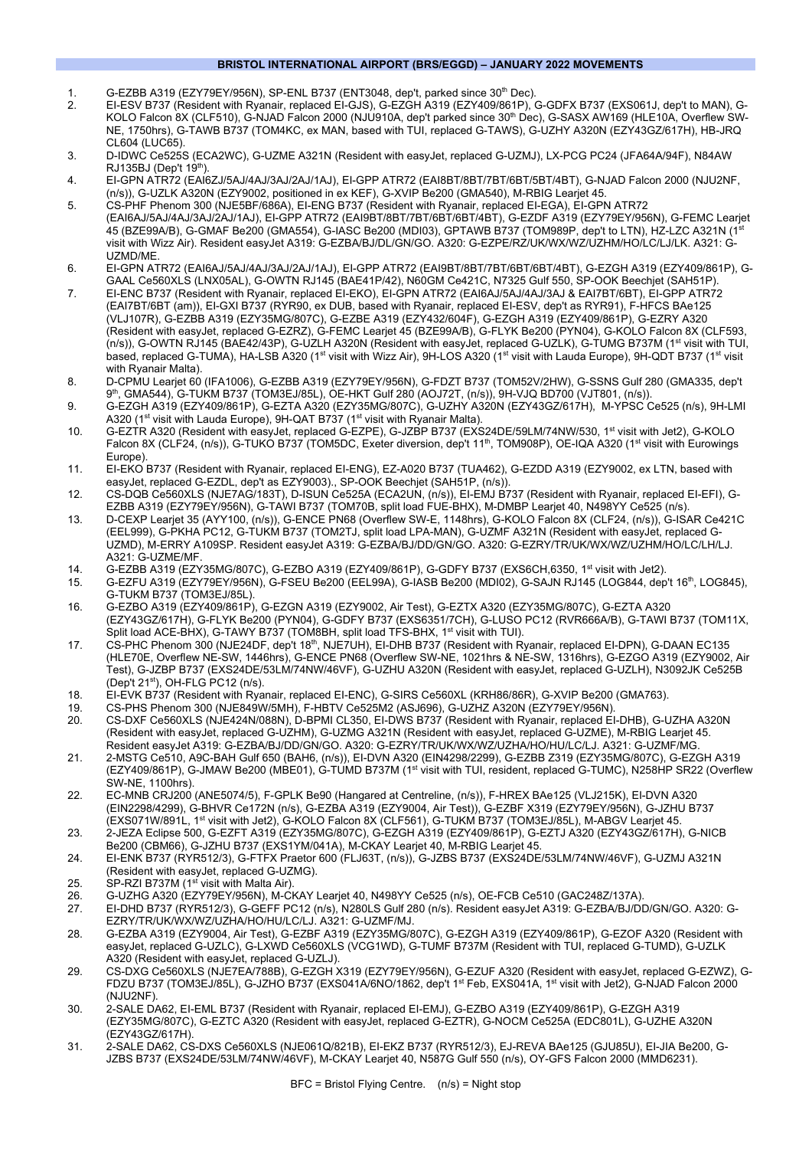## **BRISTOL INTERNATIONAL AIRPORT (BRS/EGGD) – JANUARY 2022 MOVEMENTS**

- 1. G-EZBB A319 (EZY79EY/956N), SP-ENL B737 (ENT3048, dep't, parked since 30th Dec).
- 2. EI-ESV B737 (Resident with Ryanair, replaced EI-GJS), G-EZGH A319 (EZY409/861P), G-GDFX B737 (EXS061J, dep't to MAN), G-KOLO Falcon 8X (CLF510), G-NJAD Falcon 2000 (NJU910A, dep't parked since 30th Dec), G-SASX AW169 (HLE10A, Overflew SW-NE, 1750hrs), G-TAWB B737 (TOM4KC, ex MAN, based with TUI, replaced G-TAWS), G-UZHY A320N (EZY43GZ/617H), HB-JRQ CL604 (LUC65).
- 3. D-IDWC Ce525S (ECA2WC), G-UZME A321N (Resident with easyJet, replaced G-UZMJ), LX-PCG PC24 (JFA64A/94F), N84AW  $RJ135BJ$  (Dep't  $19<sup>th</sup>$ ).
- 4. EI-GPN ATR72 (EAI6ZJ/5AJ/4AJ/3AJ/2AJ/1AJ), EI-GPP ATR72 (EAI8BT/8BT/7BT/6BT/5BT/4BT), G-NJAD Falcon 2000 (NJU2NF, (n/s)), G-UZLK A320N (EZY9002, positioned in ex KEF), G-XVIP Be200 (GMA540), M-RBIG Learjet 45.
- 5. CS-PHF Phenom 300 (NJE5BF/686A), EI-ENG B737 (Resident with Ryanair, replaced EI-EGA), EI-GPN ATR72 (EAI6AJ/5AJ/4AJ/3AJ/2AJ/1AJ), EI-GPP ATR72 (EAI9BT/8BT/7BT/6BT/6BT/4BT), G-EZDF A319 (EZY79EY/956N), G-FEMC Learjet 45 (BZE99A/B), G-GMAF Be200 (GMA554), G-IASC Be200 (MDI03), GPTAWB B737 (TOM989P, dep't to LTN), HZ-LZC A321N (19 visit with Wizz Air). Resident easyJet A319: G-EZBA/BJ/DL/GN/GO. A320: G-EZPE/RZ/UK/WX/WZ/UZHM/HO/LC/LJ/LK. A321: G-UZMD/ME.
- 6. EI-GPN ATR72 (EAI6AJ/5AJ/4AJ/3AJ/2AJ/1AJ), EI-GPP ATR72 (EAI9BT/8BT/7BT/6BT/6BT/4BT), G-EZGH A319 (EZY409/861P), G-GAAL Ce560XLS (LNX05AL), G-OWTN RJ145 (BAE41P/42), N60GM Ce421C, N7325 Gulf 550, SP-OOK Beechjet (SAH51P).
- 7. EI-ENC B737 (Resident with Ryanair, replaced EI-EKO), EI-GPN ATR72 (EAI6AJ/5AJ/4AJ/3AJ & EAI7BT/6BT), EI-GPP ATR72 (EAI7BT/6BT (am)), EI-GXI B737 (RYR90, ex DUB, based with Ryanair, replaced EI-ESV, dep't as RYR91), F-HFCS BAe125 (VLJ107R), G-EZBB A319 (EZY35MG/807C), G-EZBE A319 (EZY432/604F), G-EZGH A319 (EZY409/861P), G-EZRY A320 (Resident with easyJet, replaced G-EZRZ), G-FEMC Learjet 45 (BZE99A/B), G-FLYK Be200 (PYN04), G-KOLO Falcon 8X (CLF593, (n/s)), G-OWTN RJ145 (BAE42/43P), G-UZLH A320N (Resident with easyJet, replaced G-UZLK), G-TUMG B737M (1st visit with TUI, based, replaced G-TUMA), HA-LSB A320 (1<sup>st</sup> visit with Wizz Air), 9H-LOS A320 (1<sup>st</sup> visit with Lauda Europe), 9H-QDT B737 (1<sup>st</sup> visit with Ryanair Malta).
- 8. D-CPMU Learjet 60 (IFA1006), G-EZBB A319 (EZY79EY/956N), G-FDZT B737 (TOM52V/2HW), G-SSNS Gulf 280 (GMA335, dep't 9th, GMA544), G-TUKM B737 (TOM3EJ/85L), OE-HKT Gulf 280 (AOJ72T, (n/s)), 9H-VJQ BD700 (VJT801, (n/s)).
- 9. G-EZGH A319 (EZY409/861P), G-EZTA A320 (EZY35MG/807C), G-UZHY A320N (EZY43GZ/617H), M-YPSC Ce525 (n/s), 9H-LMI A320 (1st visit with Lauda Europe), 9H-QAT B737 (1st visit with Ryanair Malta).
- 10. G-EZTR A320 (Resident with easyJet, replaced G-EZPE), G-JZBP B737 (EXS24DE/59LM/74NW/530, 1st visit with Jet2), G-KOLO Falcon 8X (CLF24, (n/s)), G-TUKO B737 (TOM5DC, Exeter diversion, dep't 11<sup>th</sup>, TOM908P), OE-IQA A320 (1<sup>st</sup> visit with Eurowings Europe).
- 11. EI-EKO B737 (Resident with Ryanair, replaced EI-ENG), EZ-A020 B737 (TUA462), G-EZDD A319 (EZY9002, ex LTN, based with easyJet, replaced G-EZDL, dep't as EZY9003)., SP-OOK Beechjet (SAH51P, (n/s)).
- 12. CS-DQB Ce560XLS (NJE7AG/183T), D-ISUN Ce525A (ECA2UN, (n/s)), EI-EMJ B737 (Resident with Ryanair, replaced EI-EFI), G-EZBB A319 (EZY79EY/956N), G-TAWI B737 (TOM70B, split load FUE-BHX), M-DMBP Learjet 40, N498YY Ce525 (n/s).
- 13. D-CEXP Learjet 35 (AYY100, (n/s)), G-ENCE PN68 (Overflew SW-E, 1148hrs), G-KOLO Falcon 8X (CLF24, (n/s)), G-ISAR Ce421C (EEL999), G-PKHA PC12, G-TUKM B737 (TOM2TJ, split load LPA-MAN), G-UZMF A321N (Resident with easyJet, replaced G-UZMD), M-ERRY A109SP. Resident easyJet A319: G-EZBA/BJ/DD/GN/GO. A320: G-EZRY/TR/UK/WX/WZ/UZHM/HO/LC/LH/LJ. A321: G-UZME/MF.
- 14. G-EZBB A319 (EZY35MG/807C), G-EZBO A319 (EZY409/861P), G-GDFY B737 (EXS6CH,6350, 1st visit with Jet2).
- 15. G-EZFU A319 (EZY79EY/956N), G-FSEU Be200 (EEL99A), G-IASB Be200 (MDI02), G-SAJN RJ145 (LOG844, dep't 16th, LOG845), G-TUKM B737 (TOM3EJ/85L).
- 16. G-EZBO A319 (EZY409/861P), G-EZGN A319 (EZY9002, Air Test), G-EZTX A320 (EZY35MG/807C), G-EZTA A320 (EZY43GZ/617H), G-FLYK Be200 (PYN04), G-GDFY B737 (EXS6351/7CH), G-LUSO PC12 (RVR666A/B), G-TAWI B737 (TOM11X, Split load ACE-BHX), G-TAWY B737 (TOM8BH, split load TFS-BHX, 1<sup>st</sup> visit with TUI).
- 17. CS-PHC Phenom 300 (NJE24DF, dep't 18<sup>th</sup>, NJE7UH), EI-DHB B737 (Resident with Ryanair, replaced EI-DPN), G-DAAN EC135 (HLE70E, Overflew NE-SW, 1446hrs), G-ENCE PN68 (Overflew SW-NE, 1021hrs & NE-SW, 1316hrs), G-EZGO A319 (EZY9002, Air Test), G-JZBP B737 (EXS24DE/53LM/74NW/46VF), G-UZHU A320N (Resident with easyJet, replaced G-UZLH), N3092JK Ce525B (Dep't 21st), OH-FLG PC12 (n/s).
- 18. EI-EVK B737 (Resident with Ryanair, replaced EI-ENC), G-SIRS Ce560XL (KRH86/86R), G-XVIP Be200 (GMA763).
- 19. CS-PHS Phenom 300 (NJE849W/5MH), F-HBTV Ce525M2 (ASJ696), G-UZHZ A320N (EZY79EY/956N).
- 20. CS-DXF Ce560XLS (NJE424N/088N), D-BPMI CL350, EI-DWS B737 (Resident with Ryanair, replaced EI-DHB), G-UZHA A320N (Resident with easyJet, replaced G-UZHM), G-UZMG A321N (Resident with easyJet, replaced G-UZME), M-RBIG Learjet 45. Resident easyJet A319: G-EZBA/BJ/DD/GN/GO. A320: G-EZRY/TR/UK/WX/WZ/UZHA/HO/HU/LC/LJ. A321: G-UZMF/MG.
- 21. 2-MSTG Ce510, A9C-BAH Gulf 650 (BAH6, (n/s)), EI-DVN A320 (EIN4298/2299), G-EZBB Z319 (EZY35MG/807C), G-EZGH A319 (EZY409/861P), G-JMAW Be200 (MBE01), G-TUMD B737M (1st visit with TUI, resident, replaced G-TUMC), N258HP SR22 (Overflew SW-NE, 1100hrs).
- 22. EC-MNB CRJ200 (ANE5074/5), F-GPLK Be90 (Hangared at Centreline, (n/s)), F-HREX BAe125 (VLJ215K), EI-DVN A320 (EIN2298/4299), G-BHVR Ce172N (n/s), G-EZBA A319 (EZY9004, Air Test)), G-EZBF X319 (EZY79EY/956N), G-JZHU B737 (EXS071W/891L, 1<sup>st</sup> visit with Jet2), G-KOLO Falcon 8X (CLF561), G-TUKM B737 (TOM3EJ/85L), M-ABGV Learjet 45.
- 23. 2-JEZA Eclipse 500, G-EZFT A319 (EZY35MG/807C), G-EZGH A319 (EZY409/861P), G-EZTJ A320 (EZY43GZ/617H), G-NICB Be200 (CBM66), G-JZHU B737 (EXS1YM/041A), M-CKAY Learjet 40, M-RBIG Learjet 45.
- 24. EI-ENK B737 (RYR512/3), G-FTFX Praetor 600 (FLJ63T, (n/s)), G-JZBS B737 (EXS24DE/53LM/74NW/46VF), G-UZMJ A321N (Resident with easyJet, replaced G-UZMG).
- 25. SP-RZI B737M ( $1<sup>st</sup>$  visit with Malta Air).
- 26. G-UZHG A320 (EZY79EY/956N), M-CKAY Learjet 40, N498YY Ce525 (n/s), OE-FCB Ce510 (GAC248Z/137A).
- 27. EI-DHD B737 (RYR512/3), G-GEFF PC12 (n/s), N280LS Gulf 280 (n/s). Resident easyJet A319: G-EZBA/BJ/DD/GN/GO. A320: G-EZRY/TR/UK/WX/WZ/UZHA/HO/HU/LC/LJ. A321: G-UZMF/MJ.
- 28. G-EZBA A319 (EZY9004, Air Test), G-EZBF A319 (EZY35MG/807C), G-EZGH A319 (EZY409/861P), G-EZOF A320 (Resident with easyJet, replaced G-UZLC), G-LXWD Ce560XLS (VCG1WD), G-TUMF B737M (Resident with TUI, replaced G-TUMD), G-UZLK A320 (Resident with easyJet, replaced G-UZLJ).
- 29. CS-DXG Ce560XLS (NJE7EA/788B), G-EZGH X319 (EZY79EY/956N), G-EZUF A320 (Resident with easyJet, replaced G-EZWZ), G-FDZU B737 (TOM3EJ/85L), G-JZHO B737 (EXS041A/6NO/1862, dep't 1st Feb, EXS041A, 1st visit with Jet2), G-NJAD Falcon 2000 (NJU2NF).
- 30. 2-SALE DA62, EI-EML B737 (Resident with Ryanair, replaced EI-EMJ), G-EZBO A319 (EZY409/861P), G-EZGH A319 (EZY35MG/807C), G-EZTC A320 (Resident with easyJet, replaced G-EZTR), G-NOCM Ce525A (EDC801L), G-UZHE A320N (EZY43GZ/617H).
- 31. 2-SALE DA62, CS-DXS Ce560XLS (NJE061Q/821B), EI-EKZ B737 (RYR512/3), EJ-REVA BAe125 (GJU85U), EI-JIA Be200, G-JZBS B737 (EXS24DE/53LM/74NW/46VF), M-CKAY Learjet 40, N587G Gulf 550 (n/s), OY-GFS Falcon 2000 (MMD6231).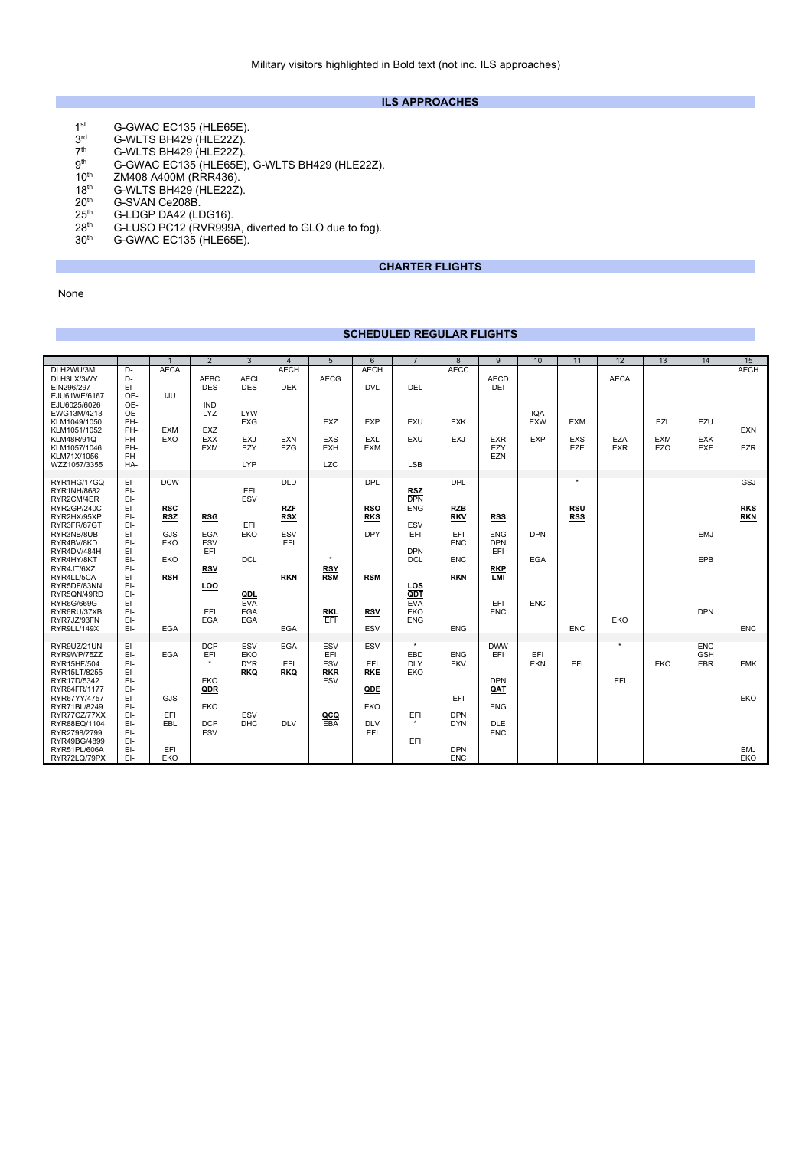## **ILS APPROACHES**

- 1<sup>st</sup> G-GWAC EC135 (HLE65E).
- 3<sup>rd</sup> G-WLTS BH429 (HLE22Z).
- $7<sup>th</sup>$  G-WLTS BH429 (HLE22Z).<br> $9<sup>th</sup>$  G-GWAC EC135 (HLE65E)
- $9<sup>th</sup>$  G-GWAC EC135 (HLE65E), G-WLTS BH429 (HLE22Z).<br>10<sup>th</sup> ZM408 A400M (RRR436).
- 10<sup>th</sup> ZM408 A400M (RRR436).<br>18<sup>th</sup> G-WLTS BH429 (HLE22Z
- $18th$  G-WLTS BH429 (HLE22Z).<br> $20th$  G-SVAN Ce208B.
- 20<sup>th</sup> G-SVAN Ce208B.<br>25<sup>th</sup> G-LDGP DA42 (LI
- $25<sup>th</sup>$  G-LDGP DA42 (LDG16). 28<sup>th</sup> G-LUSO PC12 (RVR999A, diverted to GLO due to fog).
- 30<sup>th</sup> G-GWAC EC135 (HLE65E).

# **CHARTER FLIGHTS**

None

# **SCHEDULED REGULAR FLIGHTS**

|                                                                                                                                                                                                                                                                     |                                                                                                                              |                                                                                         | $\overline{2}$                                                                           | 3                                                                                 | $\overline{4}$                                                            | 5                                                               | 6                                                                                       |                                                                                                                                          | 8                                                                                                     | 9                                                                                       | 10                                     | 11                                     | 12                               | 13                       | 14                                     | 15                                            |
|---------------------------------------------------------------------------------------------------------------------------------------------------------------------------------------------------------------------------------------------------------------------|------------------------------------------------------------------------------------------------------------------------------|-----------------------------------------------------------------------------------------|------------------------------------------------------------------------------------------|-----------------------------------------------------------------------------------|---------------------------------------------------------------------------|-----------------------------------------------------------------|-----------------------------------------------------------------------------------------|------------------------------------------------------------------------------------------------------------------------------------------|-------------------------------------------------------------------------------------------------------|-----------------------------------------------------------------------------------------|----------------------------------------|----------------------------------------|----------------------------------|--------------------------|----------------------------------------|-----------------------------------------------|
| DLH2WU/3ML<br>DLH3LX/3WY<br>EIN296/297<br>EJU61WE/6167<br>EJU6025/6026<br>EWG13M/4213<br>KLM1049/1050<br>KLM1051/1052<br><b>KLM48R/91Q</b><br>KLM1057/1046<br>KLM71X/1056<br>WZZ1057/3355                                                                           | D-<br>D-<br>EI-<br>OE-<br>OE-<br>OE-<br>PH-<br>PH-<br>PH-<br>PH-<br>PH-<br>HA-                                               | <b>AECA</b><br>IJU<br><b>EXM</b><br>EXO                                                 | <b>AEBC</b><br><b>DES</b><br><b>IND</b><br><b>LYZ</b><br>EXZ<br><b>EXX</b><br><b>EXM</b> | <b>AECI</b><br><b>DES</b><br>LYW<br><b>EXG</b><br><b>EXJ</b><br>EZY<br><b>LYP</b> | AECH<br><b>DEK</b><br><b>EXN</b><br><b>EZG</b>                            | <b>AECG</b><br><b>EXZ</b><br>EXS<br><b>EXH</b><br><b>LZC</b>    | <b>AECH</b><br><b>DVL</b><br><b>EXP</b><br>EXL<br><b>EXM</b>                            | DEL<br><b>EXU</b><br>EXU<br><b>LSB</b>                                                                                                   | <b>AECC</b><br><b>EXK</b><br><b>EXJ</b>                                                               | <b>AECD</b><br>DEI<br><b>EXR</b><br>EZY<br><b>EZN</b>                                   | <b>IQA</b><br><b>EXW</b><br><b>EXP</b> | <b>EXM</b><br><b>EXS</b><br>EZE        | <b>AECA</b><br>EZA<br><b>EXR</b> | EZL<br><b>EXM</b><br>EZO | EZU<br><b>EXK</b><br><b>EXF</b>        | <b>AECH</b><br>EXN<br><b>EZR</b>              |
| RYR1HG/17GQ<br>RYR1NH/8682<br>RYR2CM/4ER<br>RYR2GP/240C<br>RYR2HX/95XP<br>RYR3FR/87GT<br>RYR3NB/8UB<br>RYR4BV/8KD<br>RYR4DV/484H<br>RYR4HY/8KT<br>RYR4JT/6XZ<br>RYR4LL/5CA<br>RYR5DF/83NN<br>RYR5QN/49RD<br>RYR6G/669G<br>RYR6RU/37XB<br>RYR7JZ/93FN<br>RYR9LL/149X | EI-<br>EI-<br>EI-<br>EI-<br>EI-<br>EI-<br>EI-<br>EI-<br>EI-<br>EI-<br>EI-<br>EI-<br>EI-<br>EI-<br>EI-<br>EI-<br>$E$ -<br>EI- | <b>DCW</b><br><b>RSC</b><br><b>RSZ</b><br>GJS<br>EKO<br>EKO<br><b>RSH</b><br><b>EGA</b> | <b>RSG</b><br><b>EGA</b><br>ESV<br>EFI<br><b>RSV</b><br>LOO<br>EFI<br>EGA                | EFI<br>ESV<br>EFI<br>EKO<br><b>DCL</b><br>QDL<br><b>EVA</b><br><b>EGA</b><br>EGA  | <b>DLD</b><br><b>RZF</b><br><b>RSX</b><br>ESV<br>EFI<br><b>RKN</b><br>EGA | $\star$<br><b>RSY</b><br><b>RSM</b><br><b>RKL</b><br><b>EFI</b> | <b>DPL</b><br><b>RSO</b><br><b>RKS</b><br><b>DPY</b><br><b>RSM</b><br><b>RSV</b><br>ESV | <b>RSZ</b><br><b>DPN</b><br><b>ENG</b><br>ESV<br>EFI<br><b>DPN</b><br><b>DCL</b><br><b>LOS</b><br>QDT<br><b>EVA</b><br>EKO<br><b>ENG</b> | <b>DPL</b><br><b>RZB</b><br><b>RKV</b><br>EFI<br><b>ENC</b><br><b>ENC</b><br><b>RKN</b><br><b>ENG</b> | <b>RSS</b><br><b>ENG</b><br><b>DPN</b><br>EFI<br><b>RKP</b><br>LMI<br>EFI<br><b>ENC</b> | <b>DPN</b><br>EGA<br><b>ENC</b>        | <b>RSU</b><br><b>RSS</b><br><b>ENC</b> | EKO                              |                          | <b>EMJ</b><br>EPB<br><b>DPN</b>        | <b>GSJ</b><br><b>RKS</b><br>RKN<br><b>ENC</b> |
| RYR9UZ/21UN<br>RYR9WP/75ZZ<br>RYR15HF/504<br>RYR15LT/8255<br>RYR17D/5342<br>RYR64FR/1177<br>RYR67YY/4757<br>RYR71BL/8249<br>RYR77CZ/77XX<br>RYR88EQ/1104<br>RYR2798/2799<br>RYR49BG/4899<br>RYR51PL/606A<br>RYR72LQ/79PX                                            | EI-<br>EI-<br>EI-<br>EI-<br>EI-<br>EI-<br>EI-<br>EI-<br>EI-<br>EI-<br>EI-<br>EI-<br>EI-<br>EI-                               | EGA<br>GJS<br>EFI<br><b>EBL</b><br>EFI<br>EKO                                           | <b>DCP</b><br>EFI<br>$\bullet$<br>EKO<br>QDR<br>EKO<br><b>DCP</b><br>ESV                 | ESV<br>EKO<br><b>DYR</b><br><b>RKQ</b><br>ESV<br><b>DHC</b>                       | <b>EGA</b><br>EFI<br><b>RKQ</b><br><b>DLV</b>                             | ESV<br>EFI<br>ESV<br><b>RKR</b><br>ESV<br>QCQ<br>EBA            | ESV<br>EFI<br><b>RKE</b><br>QDE<br>EKO<br><b>DLV</b><br>EFI                             | $\star$<br>EBD<br><b>DLY</b><br>EKO<br>EFI<br>EFI                                                                                        | <b>ENG</b><br><b>EKV</b><br>EFI<br><b>DPN</b><br><b>DYN</b><br><b>DPN</b><br><b>ENC</b>               | <b>DWW</b><br>EFI<br><b>DPN</b><br>QAT<br><b>ENG</b><br><b>DLE</b><br><b>ENC</b>        | EFI<br><b>EKN</b>                      | EFI                                    | ٠<br>EFI                         | EKO                      | <b>ENC</b><br><b>GSH</b><br><b>EBR</b> | <b>EMK</b><br>EKO<br><b>EMJ</b><br>EKO        |